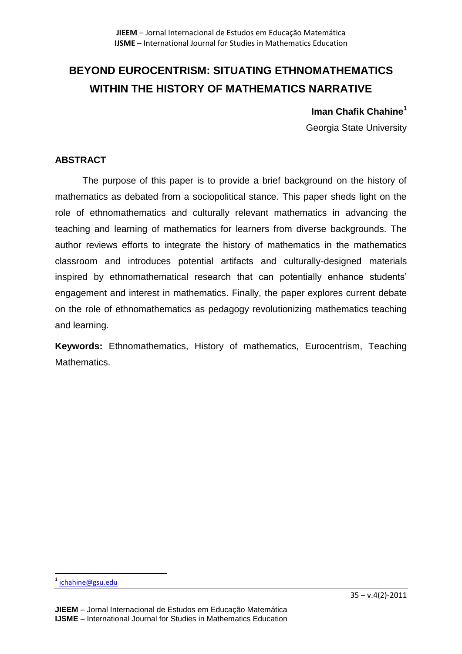# **BEYOND EUROCENTRISM: SITUATING ETHNOMATHEMATICS WITHIN THE HISTORY OF MATHEMATICS NARRATIVE**

# **Iman Chafik Chahine<sup>1</sup>**

Georgia State University

# **ABSTRACT**

The purpose of this paper is to provide a brief background on the history of mathematics as debated from a sociopolitical stance. This paper sheds light on the role of ethnomathematics and culturally relevant mathematics in advancing the teaching and learning of mathematics for learners from diverse backgrounds. The author reviews efforts to integrate the history of mathematics in the mathematics classroom and introduces potential artifacts and culturally-designed materials inspired by ethnomathematical research that can potentially enhance students' engagement and interest in mathematics. Finally, the paper explores current debate on the role of ethnomathematics as pedagogy revolutionizing mathematics teaching and learning.

**Keywords:** Ethnomathematics, History of mathematics, Eurocentrism, Teaching Mathematics.

 $\overline{\phantom{a}}$ 

<sup>&</sup>lt;sup>1</sup> [ichahine@gsu.edu](mailto:ichahine@gsu.edu)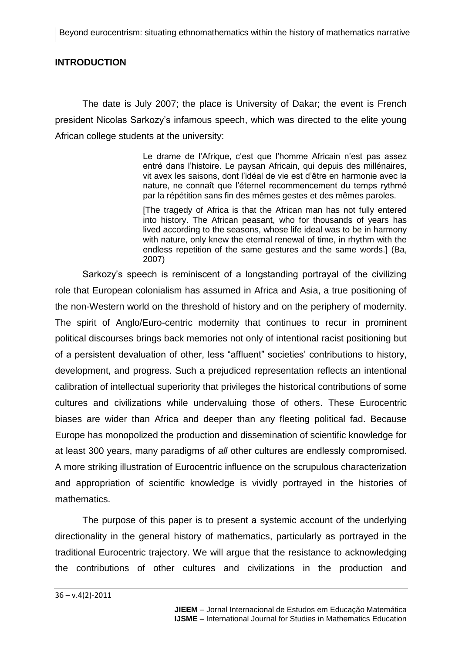## **INTRODUCTION**

The date is July 2007; the place is University of Dakar; the event is French president Nicolas Sarkozy's infamous speech, which was directed to the elite young African college students at the university:

> Le drame de l'Afrique, c'est que l'homme Africain n'est pas assez entré dans l'histoire. Le paysan Africain, qui depuis des millénaires, vit avex les saisons, dont l'idéal de vie est d'être en harmonie avec la nature, ne connaît que l'éternel recommencement du temps rythmé par la répétition sans fin des mêmes gestes et des mêmes paroles.

> [The tragedy of Africa is that the African man has not fully entered into history. The African peasant, who for thousands of years has lived according to the seasons, whose life ideal was to be in harmony with nature, only knew the eternal renewal of time, in rhythm with the endless repetition of the same gestures and the same words.] (Ba, 2007)

Sarkozy's speech is reminiscent of a longstanding portrayal of the civilizing role that European colonialism has assumed in Africa and Asia, a true positioning of the non-Western world on the threshold of history and on the periphery of modernity. The spirit of Anglo/Euro-centric modernity that continues to recur in prominent political discourses brings back memories not only of intentional racist positioning but of a persistent devaluation of other, less "affluent" societies' contributions to history, development, and progress. Such a prejudiced representation reflects an intentional calibration of intellectual superiority that privileges the historical contributions of some cultures and civilizations while undervaluing those of others. These Eurocentric biases are wider than Africa and deeper than any fleeting political fad. Because Europe has monopolized the production and dissemination of scientific knowledge for at least 300 years, many paradigms of *all* other cultures are endlessly compromised. A more striking illustration of Eurocentric influence on the scrupulous characterization and appropriation of scientific knowledge is vividly portrayed in the histories of mathematics.

The purpose of this paper is to present a systemic account of the underlying directionality in the general history of mathematics, particularly as portrayed in the traditional Eurocentric trajectory. We will argue that the resistance to acknowledging the contributions of other cultures and civilizations in the production and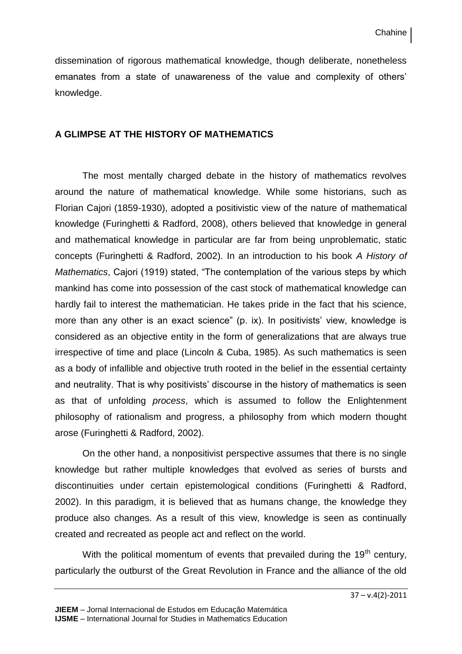dissemination of rigorous mathematical knowledge, though deliberate, nonetheless emanates from a state of unawareness of the value and complexity of others' knowledge.

## **A GLIMPSE AT THE HISTORY OF MATHEMATICS**

The most mentally charged debate in the history of mathematics revolves around the nature of mathematical knowledge. While some historians, such as Florian Cajori (1859-1930), adopted a positivistic view of the nature of mathematical knowledge (Furinghetti & Radford, 2008), others believed that knowledge in general and mathematical knowledge in particular are far from being unproblematic, static concepts (Furinghetti & Radford, 2002). In an introduction to his book *A History of Mathematics*, Cajori (1919) stated, "The contemplation of the various steps by which mankind has come into possession of the cast stock of mathematical knowledge can hardly fail to interest the mathematician. He takes pride in the fact that his science, more than any other is an exact science" (p. ix). In positivists' view, knowledge is considered as an objective entity in the form of generalizations that are always true irrespective of time and place (Lincoln & Cuba, 1985). As such mathematics is seen as a body of infallible and objective truth rooted in the belief in the essential certainty and neutrality. That is why positivists' discourse in the history of mathematics is seen as that of unfolding *process*, which is assumed to follow the Enlightenment philosophy of rationalism and progress, a philosophy from which modern thought arose (Furinghetti & Radford, 2002).

On the other hand, a nonpositivist perspective assumes that there is no single knowledge but rather multiple knowledges that evolved as series of bursts and discontinuities under certain epistemological conditions (Furinghetti & Radford, 2002). In this paradigm, it is believed that as humans change, the knowledge they produce also changes. As a result of this view, knowledge is seen as continually created and recreated as people act and reflect on the world.

With the political momentum of events that prevailed during the  $19<sup>th</sup>$  century, particularly the outburst of the Great Revolution in France and the alliance of the old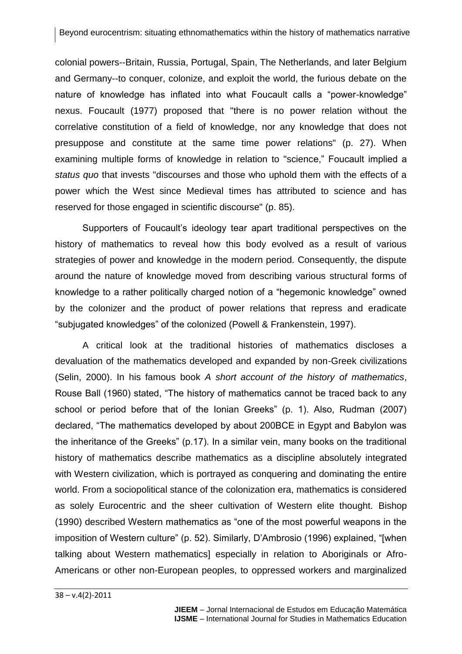colonial powers--Britain, Russia, Portugal, Spain, The Netherlands, and later Belgium and Germany--to conquer, colonize, and exploit the world, the furious debate on the nature of knowledge has inflated into what Foucault calls a "power-knowledge" nexus. Foucault (1977) proposed that "there is no power relation without the correlative constitution of a field of knowledge, nor any knowledge that does not presuppose and constitute at the same time power relations" (p. 27). When examining multiple forms of knowledge in relation to "science," Foucault implied a *status quo* that invests "discourses and those who uphold them with the effects of a power which the West since Medieval times has attributed to science and has reserved for those engaged in scientific discourse" (p. 85).

Supporters of Foucault's ideology tear apart traditional perspectives on the history of mathematics to reveal how this body evolved as a result of various strategies of power and knowledge in the modern period. Consequently, the dispute around the nature of knowledge moved from describing various structural forms of knowledge to a rather politically charged notion of a "hegemonic knowledge" owned by the colonizer and the product of power relations that repress and eradicate "subjugated knowledges" of the colonized (Powell & Frankenstein, 1997).

A critical look at the traditional histories of mathematics discloses a devaluation of the mathematics developed and expanded by non-Greek civilizations (Selin, 2000). In his famous book *A short account of the history of mathematics*, Rouse Ball (1960) stated, "The history of mathematics cannot be traced back to any school or period before that of the Ionian Greeks" (p. 1). Also, Rudman (2007) declared, "The mathematics developed by about 200BCE in Egypt and Babylon was the inheritance of the Greeks" (p.17). In a similar vein, many books on the traditional history of mathematics describe mathematics as a discipline absolutely integrated with Western civilization, which is portrayed as conquering and dominating the entire world. From a sociopolitical stance of the colonization era, mathematics is considered as solely Eurocentric and the sheer cultivation of Western elite thought. Bishop (1990) described Western mathematics as "one of the most powerful weapons in the imposition of Western culture" (p. 52). Similarly, D'Ambrosio (1996) explained, "[when talking about Western mathematics] especially in relation to Aboriginals or Afro-Americans or other non-European peoples, to oppressed workers and marginalized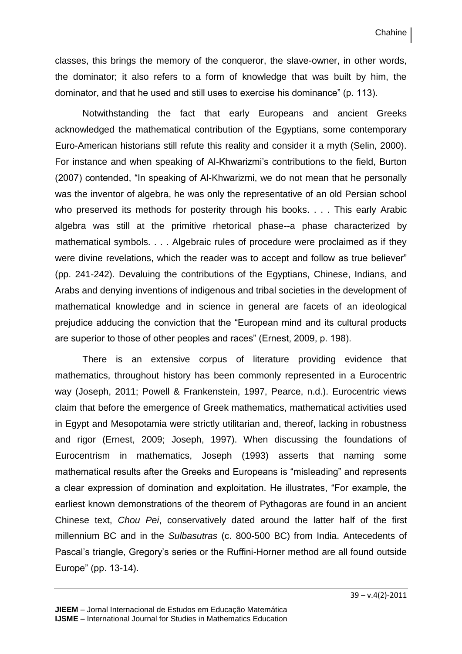classes, this brings the memory of the conqueror, the slave-owner, in other words, the dominator; it also refers to a form of knowledge that was built by him, the dominator, and that he used and still uses to exercise his dominance" (p. 113).

Notwithstanding the fact that early Europeans and ancient Greeks acknowledged the mathematical contribution of the Egyptians, some contemporary Euro-American historians still refute this reality and consider it a myth (Selin, 2000). For instance and when speaking of Al-Khwarizmi's contributions to the field, Burton (2007) contended, "In speaking of Al-Khwarizmi, we do not mean that he personally was the inventor of algebra, he was only the representative of an old Persian school who preserved its methods for posterity through his books. . . . This early Arabic algebra was still at the primitive rhetorical phase--a phase characterized by mathematical symbols. . . . Algebraic rules of procedure were proclaimed as if they were divine revelations, which the reader was to accept and follow as true believer" (pp. 241-242). Devaluing the contributions of the Egyptians, Chinese, Indians, and Arabs and denying inventions of indigenous and tribal societies in the development of mathematical knowledge and in science in general are facets of an ideological prejudice adducing the conviction that the "European mind and its cultural products are superior to those of other peoples and races" (Ernest, 2009, p. 198).

There is an extensive corpus of literature providing evidence that mathematics, throughout history has been commonly represented in a Eurocentric way (Joseph, 2011; Powell & Frankenstein, 1997, Pearce, n.d.). Eurocentric views claim that before the emergence of Greek mathematics, mathematical activities used in Egypt and Mesopotamia were strictly utilitarian and, thereof, lacking in robustness and rigor (Ernest, 2009; Joseph, 1997). When discussing the foundations of Eurocentrism in mathematics, Joseph (1993) asserts that naming some mathematical results after the Greeks and Europeans is "misleading" and represents a clear expression of domination and exploitation. He illustrates, "For example, the earliest known demonstrations of the theorem of Pythagoras are found in an ancient Chinese text, *Chou Pei*, conservatively dated around the latter half of the first millennium BC and in the *Sulbasutras* (c. 800-500 BC) from India. Antecedents of Pascal's triangle, Gregory's series or the Ruffini-Horner method are all found outside Europe" (pp. 13-14).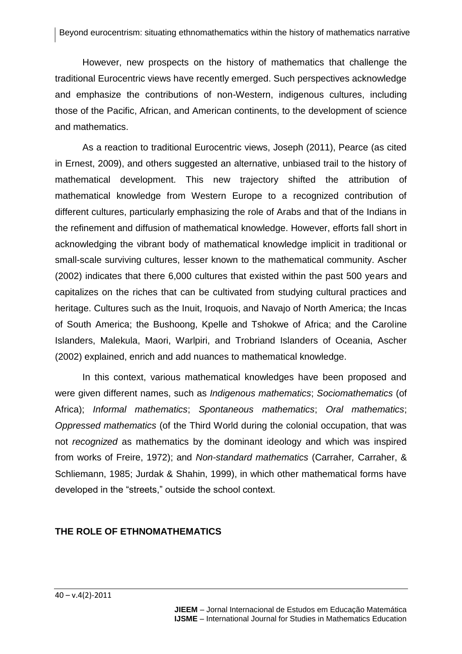However, new prospects on the history of mathematics that challenge the traditional Eurocentric views have recently emerged. Such perspectives acknowledge and emphasize the contributions of non-Western, indigenous cultures, including those of the Pacific, African, and American continents, to the development of science and mathematics.

As a reaction to traditional Eurocentric views, Joseph (2011), Pearce (as cited in Ernest, 2009), and others suggested an alternative, unbiased trail to the history of mathematical development. This new trajectory shifted the attribution of mathematical knowledge from Western Europe to a recognized contribution of different cultures, particularly emphasizing the role of Arabs and that of the Indians in the refinement and diffusion of mathematical knowledge. However, efforts fall short in acknowledging the vibrant body of mathematical knowledge implicit in traditional or small-scale surviving cultures, lesser known to the mathematical community. Ascher (2002) indicates that there 6,000 cultures that existed within the past 500 years and capitalizes on the riches that can be cultivated from studying cultural practices and heritage. Cultures such as the Inuit, Iroquois, and Navajo of North America; the Incas of South America; the Bushoong, Kpelle and Tshokwe of Africa; and the Caroline Islanders, Malekula, Maori, Warlpiri, and Trobriand Islanders of Oceania, Ascher (2002) explained, enrich and add nuances to mathematical knowledge.

In this context, various mathematical knowledges have been proposed and were given different names, such as *Indigenous mathematics*; *Sociomathematics* (of Africa); *Informal mathematics*; *Spontaneous mathematics*; *Oral mathematics*; *Oppressed mathematics* (of the Third World during the colonial occupation, that was not *recognized* as mathematics by the dominant ideology and which was inspired from works of Freire, 1972); and *Non-standard mathematics* (Carraher*,* Carraher, & Schliemann, 1985; Jurdak & Shahin, 1999), in which other mathematical forms have developed in the "streets," outside the school context.

#### **THE ROLE OF ETHNOMATHEMATICS**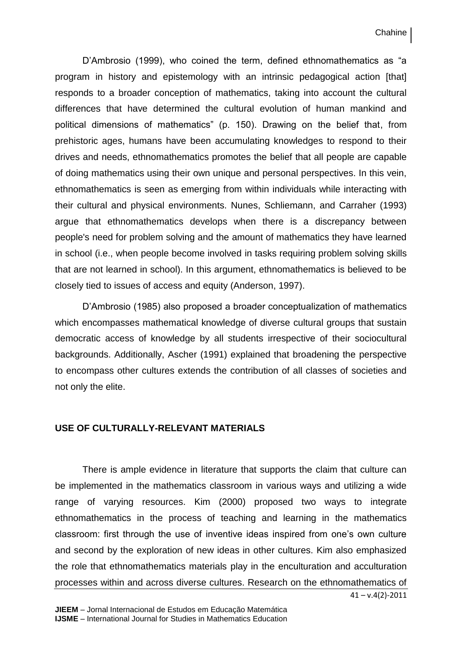Chahine

D'Ambrosio (1999), who coined the term, defined ethnomathematics as "a program in history and epistemology with an intrinsic pedagogical action [that] responds to a broader conception of mathematics, taking into account the cultural differences that have determined the cultural evolution of human mankind and political dimensions of mathematics" (p. 150). Drawing on the belief that, from prehistoric ages, humans have been accumulating knowledges to respond to their drives and needs, ethnomathematics promotes the belief that all people are capable of doing mathematics using their own unique and personal perspectives. In this vein, ethnomathematics is seen as emerging from within individuals while interacting with their cultural and physical environments. Nunes, Schliemann, and Carraher (1993) argue that ethnomathematics develops when there is a discrepancy between people's need for problem solving and the amount of mathematics they have learned in school (i.e., when people become involved in tasks requiring problem solving skills that are not learned in school). In this argument, ethnomathematics is believed to be closely tied to issues of access and equity (Anderson, 1997).

D'Ambrosio (1985) also proposed a broader conceptualization of mathematics which encompasses mathematical knowledge of diverse cultural groups that sustain democratic access of knowledge by all students irrespective of their sociocultural backgrounds. Additionally, Ascher (1991) explained that broadening the perspective to encompass other cultures extends the contribution of all classes of societies and not only the elite.

#### **USE OF CULTURALLY-RELEVANT MATERIALS**

There is ample evidence in literature that supports the claim that culture can be implemented in the mathematics classroom in various ways and utilizing a wide range of varying resources. Kim (2000) proposed two ways to integrate ethnomathematics in the process of teaching and learning in the mathematics classroom: first through the use of inventive ideas inspired from one's own culture and second by the exploration of new ideas in other cultures. Kim also emphasized the role that ethnomathematics materials play in the enculturation and acculturation processes within and across diverse cultures. Research on the ethnomathematics of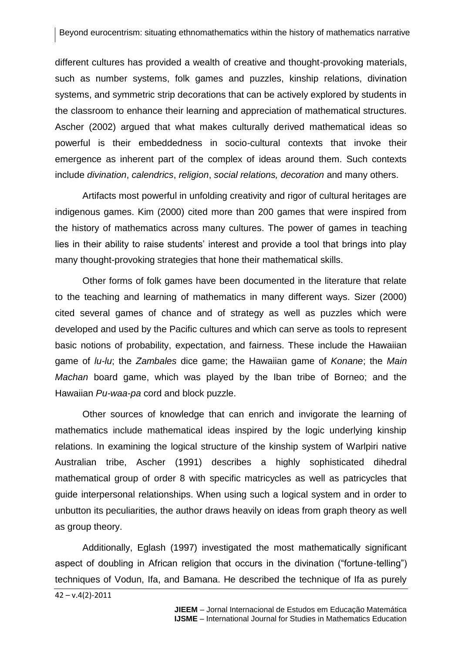different cultures has provided a wealth of creative and thought-provoking materials, such as number systems, folk games and puzzles, kinship relations, divination systems, and symmetric strip decorations that can be actively explored by students in the classroom to enhance their learning and appreciation of mathematical structures. Ascher (2002) argued that what makes culturally derived mathematical ideas so powerful is their embeddedness in socio-cultural contexts that invoke their emergence as inherent part of the complex of ideas around them. Such contexts include *divination*, *calendrics*, *religion*, *social relations, decoration* and many others.

Artifacts most powerful in unfolding creativity and rigor of cultural heritages are indigenous games. Kim (2000) cited more than 200 games that were inspired from the history of mathematics across many cultures. The power of games in teaching lies in their ability to raise students' interest and provide a tool that brings into play many thought-provoking strategies that hone their mathematical skills.

Other forms of folk games have been documented in the literature that relate to the teaching and learning of mathematics in many different ways. Sizer (2000) cited several games of chance and of strategy as well as puzzles which were developed and used by the Pacific cultures and which can serve as tools to represent basic notions of probability, expectation, and fairness. These include the Hawaiian game of *lu-lu*; the *Zambales* dice game; the Hawaiian game of *Konane*; the *Main Machan* board game, which was played by the Iban tribe of Borneo; and the Hawaiian *Pu-waa-pa* cord and block puzzle.

Other sources of knowledge that can enrich and invigorate the learning of mathematics include mathematical ideas inspired by the logic underlying kinship relations. In examining the logical structure of the kinship system of Warlpiri native Australian tribe, Ascher (1991) describes a highly sophisticated dihedral mathematical group of order 8 with specific matricycles as well as patricycles that guide interpersonal relationships. When using such a logical system and in order to unbutton its peculiarities, the author draws heavily on ideas from graph theory as well as group theory.

Additionally, Eglash (1997) investigated the most mathematically significant aspect of doubling in African religion that occurs in the divination ("fortune-telling") techniques of Vodun, Ifa, and Bamana. He described the technique of Ifa as purely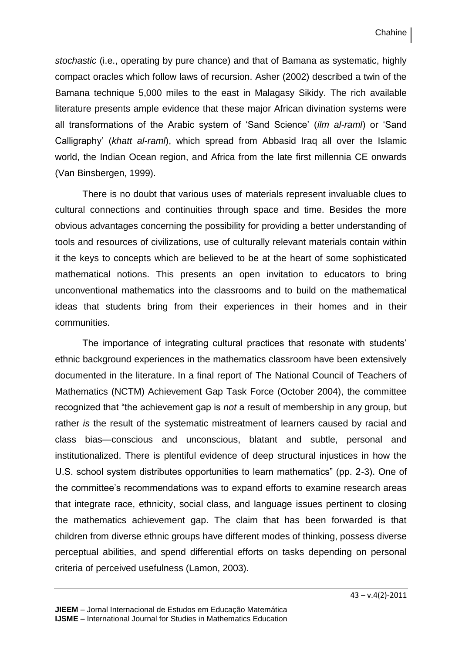*stochastic* (i.e., operating by pure chance) and that of Bamana as systematic, highly compact oracles which follow laws of recursion. Asher (2002) described a twin of the Bamana technique 5,000 miles to the east in Malagasy Sikidy. The rich available literature presents ample evidence that these major African divination systems were all transformations of the Arabic system of 'Sand Science' (*ilm al-raml*) or 'Sand Calligraphy' (*khatt al-raml*), which spread from Abbasid Iraq all over the Islamic world, the Indian Ocean region, and Africa from the late first millennia CE onwards (Van Binsbergen, 1999).

There is no doubt that various uses of materials represent invaluable clues to cultural connections and continuities through space and time. Besides the more obvious advantages concerning the possibility for providing a better understanding of tools and resources of civilizations, use of culturally relevant materials contain within it the keys to concepts which are believed to be at the heart of some sophisticated mathematical notions. This presents an open invitation to educators to bring unconventional mathematics into the classrooms and to build on the mathematical ideas that students bring from their experiences in their homes and in their communities.

The importance of integrating cultural practices that resonate with students' ethnic background experiences in the mathematics classroom have been extensively documented in the literature. In a final report of The National Council of Teachers of Mathematics (NCTM) Achievement Gap Task Force (October 2004), the committee recognized that "the achievement gap is *not* a result of membership in any group, but rather *is* the result of the systematic mistreatment of learners caused by racial and class bias—conscious and unconscious, blatant and subtle, personal and institutionalized. There is plentiful evidence of deep structural injustices in how the U.S. school system distributes opportunities to learn mathematics" (pp. 2-3). One of the committee's recommendations was to expand efforts to examine research areas that integrate race, ethnicity, social class, and language issues pertinent to closing the mathematics achievement gap. The claim that has been forwarded is that children from diverse ethnic groups have different modes of thinking, possess diverse perceptual abilities, and spend differential efforts on tasks depending on personal criteria of perceived usefulness (Lamon, 2003).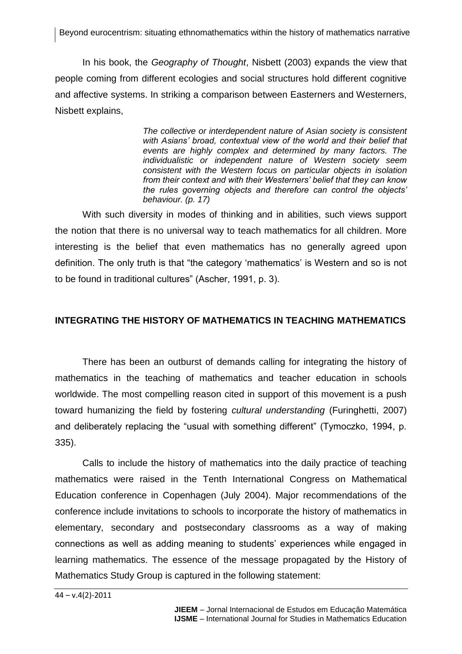In his book, the *Geography of Thought*, Nisbett (2003) expands the view that people coming from different ecologies and social structures hold different cognitive and affective systems. In striking a comparison between Easterners and Westerners, Nisbett explains,

> *The collective or interdependent nature of Asian society is consistent with Asians' broad, contextual view of the world and their belief that events are highly complex and determined by many factors. The individualistic or independent nature of Western society seem consistent with the Western focus on particular objects in isolation from their context and with their Westerners' belief that they can know the rules governing objects and therefore can control the objects' behaviour. (p. 17)*

With such diversity in modes of thinking and in abilities, such views support the notion that there is no universal way to teach mathematics for all children. More interesting is the belief that even mathematics has no generally agreed upon definition. The only truth is that "the category 'mathematics' is Western and so is not to be found in traditional cultures" (Ascher, 1991, p. 3).

# **INTEGRATING THE HISTORY OF MATHEMATICS IN TEACHING MATHEMATICS**

There has been an outburst of demands calling for integrating the history of mathematics in the teaching of mathematics and teacher education in schools worldwide. The most compelling reason cited in support of this movement is a push toward humanizing the field by fostering *cultural understanding* (Furinghetti, 2007) and deliberately replacing the "usual with something different" (Tymoczko, 1994, p. 335).

Calls to include the history of mathematics into the daily practice of teaching mathematics were raised in the Tenth International Congress on Mathematical Education conference in Copenhagen (July 2004). Major recommendations of the conference include invitations to schools to incorporate the history of mathematics in elementary, secondary and postsecondary classrooms as a way of making connections as well as adding meaning to students' experiences while engaged in learning mathematics. The essence of the message propagated by the History of Mathematics Study Group is captured in the following statement:

44 – v.4(2)-2011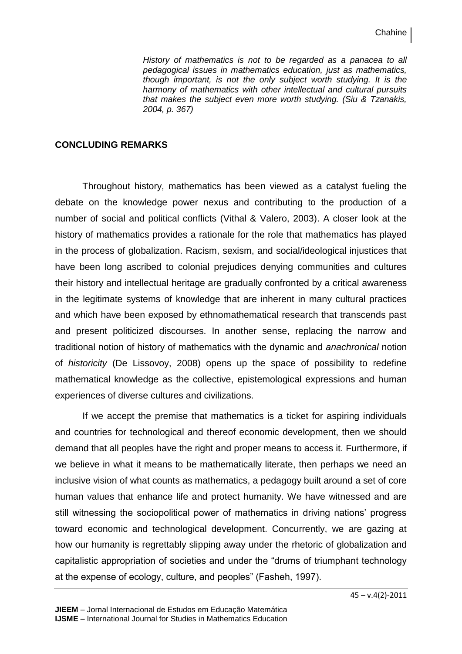*History of mathematics is not to be regarded as a panacea to all pedagogical issues in mathematics education, just as mathematics, though important, is not the only subject worth studying. It is the harmony of mathematics with other intellectual and cultural pursuits that makes the subject even more worth studying. (Siu & Tzanakis, 2004, p. 367)*

#### **CONCLUDING REMARKS**

Throughout history, mathematics has been viewed as a catalyst fueling the debate on the knowledge power nexus and contributing to the production of a number of social and political conflicts (Vithal & Valero, 2003). A closer look at the history of mathematics provides a rationale for the role that mathematics has played in the process of globalization. Racism, sexism, and social/ideological injustices that have been long ascribed to colonial prejudices denying communities and cultures their history and intellectual heritage are gradually confronted by a critical awareness in the legitimate systems of knowledge that are inherent in many cultural practices and which have been exposed by ethnomathematical research that transcends past and present politicized discourses. In another sense, replacing the narrow and traditional notion of history of mathematics with the dynamic and *anachronical* notion of *historicity* (De Lissovoy, 2008) opens up the space of possibility to redefine mathematical knowledge as the collective, epistemological expressions and human experiences of diverse cultures and civilizations.

If we accept the premise that mathematics is a ticket for aspiring individuals and countries for technological and thereof economic development, then we should demand that all peoples have the right and proper means to access it. Furthermore, if we believe in what it means to be mathematically literate, then perhaps we need an inclusive vision of what counts as mathematics, a pedagogy built around a set of core human values that enhance life and protect humanity. We have witnessed and are still witnessing the sociopolitical power of mathematics in driving nations' progress toward economic and technological development. Concurrently, we are gazing at how our humanity is regrettably slipping away under the rhetoric of globalization and capitalistic appropriation of societies and under the "drums of triumphant technology at the expense of ecology, culture, and peoples" (Fasheh, 1997).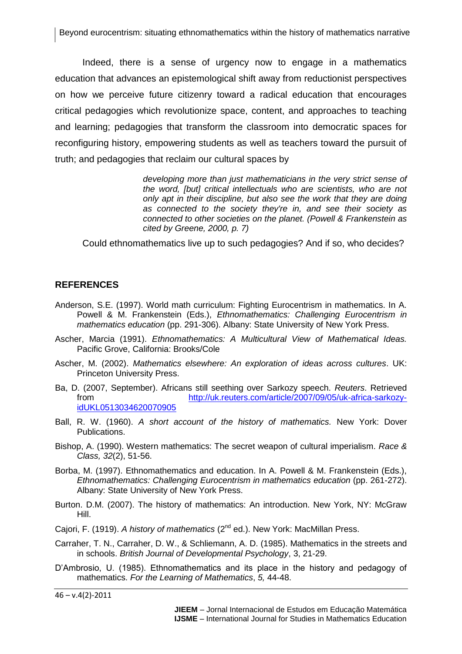Indeed, there is a sense of urgency now to engage in a mathematics education that advances an epistemological shift away from reductionist perspectives on how we perceive future citizenry toward a radical education that encourages critical pedagogies which revolutionize space, content, and approaches to teaching and learning; pedagogies that transform the classroom into democratic spaces for reconfiguring history, empowering students as well as teachers toward the pursuit of truth; and pedagogies that reclaim our cultural spaces by

> *developing more than just mathematicians in the very strict sense of the word, [but] critical intellectuals who are scientists, who are not only apt in their discipline, but also see the work that they are doing as connected to the society they're in, and see their society as connected to other societies on the planet. (Powell & Frankenstein as cited by Greene, 2000, p. 7)*

Could ethnomathematics live up to such pedagogies? And if so, who decides?

### **REFERENCES**

- Anderson, S.E. (1997). World math curriculum: Fighting Eurocentrism in mathematics. In A. Powell & M. Frankenstein (Eds.), *Ethnomathematics: Challenging Eurocentrism in mathematics education* (pp. 291-306). Albany: State University of New York Press.
- Ascher, Marcia (1991). *Ethnomathematics: A Multicultural View of Mathematical Ideas.* Pacific Grove, California: Brooks/Cole
- Ascher, M. (2002). *Mathematics elsewhere: An exploration of ideas across cultures*. UK: Princeton University Press.
- Ba, D. (2007, September). Africans still seething over Sarkozy speech. *Reuters*. Retrieved from [http://uk.reuters.com/article/2007/09/05/uk-africa-sarkozy](http://uk.reuters.com/article/2007/09/05/uk-africa-sarkozy-idUKL0513034620070905)[idUKL0513034620070905](http://uk.reuters.com/article/2007/09/05/uk-africa-sarkozy-idUKL0513034620070905)
- Ball, R. W. (1960). *A short account of the history of mathematics.* New York: Dover Publications.
- Bishop, A. (1990). Western mathematics: The secret weapon of cultural imperialism. *Race & Class, 32*(2), 51-56.
- Borba, M. (1997). Ethnomathematics and education. In A. Powell & M. Frankenstein (Eds.), *Ethnomathematics: Challenging Eurocentrism in mathematics education* (pp. 261-272). Albany: State University of New York Press.
- Burton. D.M. (2007). The history of mathematics: An introduction. New York, NY: McGraw Hill.
- Cajori, F. (1919). *A history of mathematics* (2nd ed.). New York: MacMillan Press.
- Carraher, T. N., Carraher, D. W., & Schliemann, A. D. (1985). Mathematics in the streets and in schools. *British Journal of Developmental Psychology*, 3, 21-29.
- D'Ambrosio, U. (1985). Ethnomathematics and its place in the history and pedagogy of mathematics. *For the Learning of Mathematics*, *5,* 44-48.

 $46 - v.4(2) - 2011$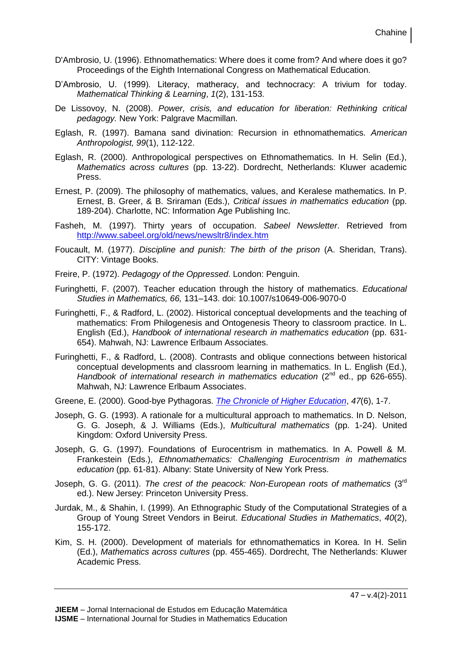- D'Ambrosio, U. (1996). Ethnomathematics: Where does it come from? And where does it go? Proceedings of the Eighth International Congress on Mathematical Education.
- D'Ambrosio, U. (1999). Literacy, matheracy, and technocracy: A trivium for today. *Mathematical Thinking & Learning*, *1*(2), 131-153.
- De Lissovoy, N. (2008). *Power, crisis, and education for liberation: Rethinking critical pedagogy.* New York: Palgrave Macmillan.
- Eglash, R. (1997). Bamana sand divination: Recursion in ethnomathematics. *American Anthropologist, 99*(1), 112-122.
- Eglash, R. (2000). Anthropological perspectives on Ethnomathematics. In H. Selin (Ed.), *Mathematics across cultures* (pp. 13-22). Dordrecht, Netherlands: Kluwer academic Press.
- Ernest, P. (2009). The philosophy of mathematics, values, and Keralese mathematics. In P. Ernest, B. Greer, & B. Sriraman (Eds.), *Critical issues in mathematics education* (pp. 189-204). Charlotte, NC: Information Age Publishing Inc.
- Fasheh, M. (1997). Thirty years of occupation. *Sabeel Newsletter*. Retrieved from <http://www.sabeel.org/old/news/newsltr8/index.htm>
- Foucault, M. (1977). *Discipline and punish: The birth of the prison* (A. Sheridan, Trans). CITY: Vintage Books.
- Freire, P. (1972). *Pedagogy of the Oppressed*. London: Penguin.
- Furinghetti, F. (2007). Teacher education through the history of mathematics. *Educational Studies in Mathematics, 66,* 131–143. doi: 10.1007/s10649-006-9070-0
- Furinghetti, F., & Radford, L. (2002). Historical conceptual developments and the teaching of mathematics: From Philogenesis and Ontogenesis Theory to classroom practice. In L. English (Ed.), *Handbook of international research in mathematics education* (pp. 631- 654). Mahwah, NJ: Lawrence Erlbaum Associates.
- Furinghetti, F., & Radford, L. (2008). Contrasts and oblique connections between historical conceptual developments and classroom learning in mathematics. In L. English (Ed.), *Handbook of international research in mathematics education* (2<sup>nd</sup> ed., pp 626-655). Mahwah, NJ: Lawrence Erlbaum Associates.
- Greene, E. (2000). Good-bye Pythagoras. *[The Chronicle of Higher Education](http://proquest.umi.com/pqdweb?RQT=318&pmid=26258&TS=1301935247&clientId=19356&VInst=PROD&VName=PQD&VType=PQD)*, *47*(6), 1-7.
- Joseph, G. G. (1993). A rationale for a multicultural approach to mathematics. In D. Nelson, G. G. Joseph, & J. Williams (Eds.), *Multicultural mathematics* (pp. 1-24). United Kingdom: Oxford University Press.
- Joseph, G. G. (1997). Foundations of Eurocentrism in mathematics. In A. Powell & M. Frankestein (Eds.), *Ethnomathematics: Challenging Eurocentrism in mathematics education* (pp. 61-81). Albany: State University of New York Press.
- Joseph, G. G. (2011). *The crest of the peacock: Non-European roots of mathematics* (3rd ed.). New Jersey: Princeton University Press.
- Jurdak, M., & Shahin, I. (1999). An Ethnographic Study of the Computational Strategies of a Group of Young Street Vendors in Beirut. *Educational Studies in Mathematics*, *40*(2), 155-172.
- Kim, S. H. (2000). Development of materials for ethnomathematics in Korea. In H. Selin (Ed.), *Mathematics across cultures* (pp. 455-465). Dordrecht, The Netherlands: Kluwer Academic Press.